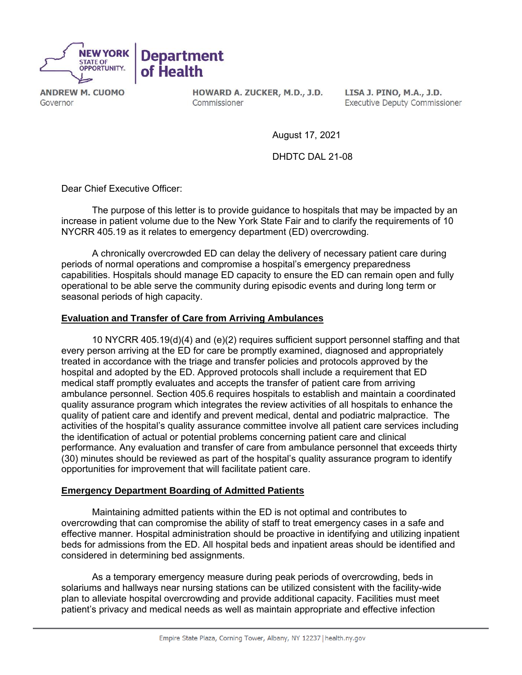

**ANDREW M. CUOMO** Governor

HOWARD A. ZUCKER, M.D., J.D. Commissioner

LISA J. PINO, M.A., J.D. **Executive Deputy Commissioner** 

August 17, 2021

DHDTC DAL 21-08

Dear Chief Executive Officer:

The purpose of this letter is to provide guidance to hospitals that may be impacted by an increase in patient volume due to the New York State Fair and to clarify the requirements of 10 NYCRR 405.19 as it relates to emergency department (ED) overcrowding.

A chronically overcrowded ED can delay the delivery of necessary patient care during periods of normal operations and compromise a hospital's emergency preparedness capabilities. Hospitals should manage ED capacity to ensure the ED can remain open and fully operational to be able serve the community during episodic events and during long term or seasonal periods of high capacity.

## **Evaluation and Transfer of Care from Arriving Ambulances**

10 NYCRR 405.19(d)(4) and (e)(2) requires sufficient support personnel staffing and that every person arriving at the ED for care be promptly examined, diagnosed and appropriately treated in accordance with the triage and transfer policies and protocols approved by the hospital and adopted by the ED. Approved protocols shall include a requirement that ED medical staff promptly evaluates and accepts the transfer of patient care from arriving ambulance personnel. Section 405.6 requires hospitals to establish and maintain a coordinated quality assurance program which integrates the review activities of all hospitals to enhance the quality of patient care and identify and prevent medical, dental and podiatric malpractice. The activities of the hospital's quality assurance committee involve all patient care services including the identification of actual or potential problems concerning patient care and clinical performance. Any evaluation and transfer of care from ambulance personnel that exceeds thirty (30) minutes should be reviewed as part of the hospital's quality assurance program to identify opportunities for improvement that will facilitate patient care.

### **Emergency Department Boarding of Admitted Patients**

Maintaining admitted patients within the ED is not optimal and contributes to overcrowding that can compromise the ability of staff to treat emergency cases in a safe and effective manner. Hospital administration should be proactive in identifying and utilizing inpatient beds for admissions from the ED. All hospital beds and inpatient areas should be identified and considered in determining bed assignments.

As a temporary emergency measure during peak periods of overcrowding, beds in solariums and hallways near nursing stations can be utilized consistent with the facility-wide plan to alleviate hospital overcrowding and provide additional capacity. Facilities must meet patient's privacy and medical needs as well as maintain appropriate and effective infection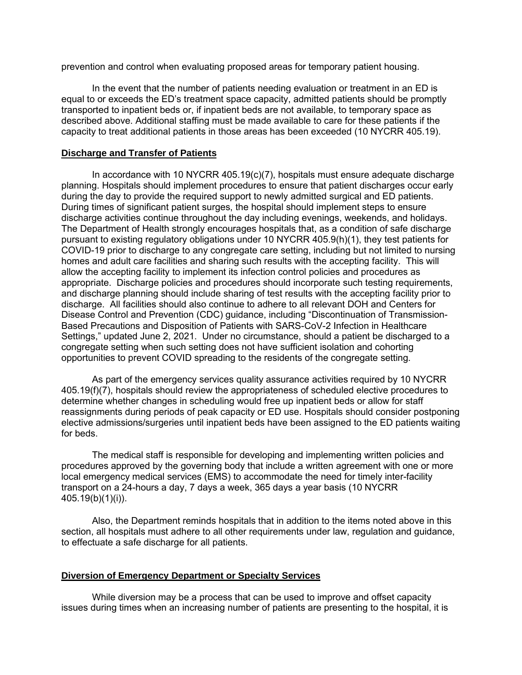prevention and control when evaluating proposed areas for temporary patient housing.

In the event that the number of patients needing evaluation or treatment in an ED is equal to or exceeds the ED's treatment space capacity, admitted patients should be promptly transported to inpatient beds or, if inpatient beds are not available, to temporary space as described above. Additional staffing must be made available to care for these patients if the capacity to treat additional patients in those areas has been exceeded (10 NYCRR 405.19).

### **Discharge and Transfer of Patients**

In accordance with 10 NYCRR 405.19(c)(7), hospitals must ensure adequate discharge planning. Hospitals should implement procedures to ensure that patient discharges occur early during the day to provide the required support to newly admitted surgical and ED patients. During times of significant patient surges, the hospital should implement steps to ensure discharge activities continue throughout the day including evenings, weekends, and holidays. The Department of Health strongly encourages hospitals that, as a condition of safe discharge pursuant to existing regulatory obligations under 10 NYCRR 405.9(h)(1), they test patients for COVID-19 prior to discharge to any congregate care setting, including but not limited to nursing homes and adult care facilities and sharing such results with the accepting facility. This will allow the accepting facility to implement its infection control policies and procedures as appropriate. Discharge policies and procedures should incorporate such testing requirements, and discharge planning should include sharing of test results with the accepting facility prior to discharge. All facilities should also continue to adhere to all relevant DOH and Centers for Disease Control and Prevention (CDC) guidance, including ["Discontinuation of Transmission-](https://www.cdc.gov/coronavirus/2019-ncov/hcp/disposition-hospitalized-patients.html)[Based Precautions and Disposition of Patients with SARS-CoV-2 Infection in Healthcare](https://www.cdc.gov/coronavirus/2019-ncov/hcp/disposition-hospitalized-patients.html)  [Settings,](https://www.cdc.gov/coronavirus/2019-ncov/hcp/disposition-hospitalized-patients.html)" updated June 2, 2021. Under no circumstance, should a patient be discharged to a congregate setting when such setting does not have sufficient isolation and cohorting opportunities to prevent COVID spreading to the residents of the congregate setting.

As part of the emergency services quality assurance activities required by 10 NYCRR 405.19(f)(7), hospitals should review the appropriateness of scheduled elective procedures to determine whether changes in scheduling would free up inpatient beds or allow for staff reassignments during periods of peak capacity or ED use. Hospitals should consider postponing elective admissions/surgeries until inpatient beds have been assigned to the ED patients waiting for beds.

The medical staff is responsible for developing and implementing written policies and procedures approved by the governing body that include a written agreement with one or more local emergency medical services (EMS) to accommodate the need for timely inter-facility transport on a 24-hours a day, 7 days a week, 365 days a year basis (10 NYCRR 405.19(b)(1)(i)).

Also, the Department reminds hospitals that in addition to the items noted above in this section, all hospitals must adhere to all other requirements under law, regulation and guidance, to effectuate a safe discharge for all patients.

### **Diversion of Emergency Department or Specialty Services**

While diversion may be a process that can be used to improve and offset capacity issues during times when an increasing number of patients are presenting to the hospital, it is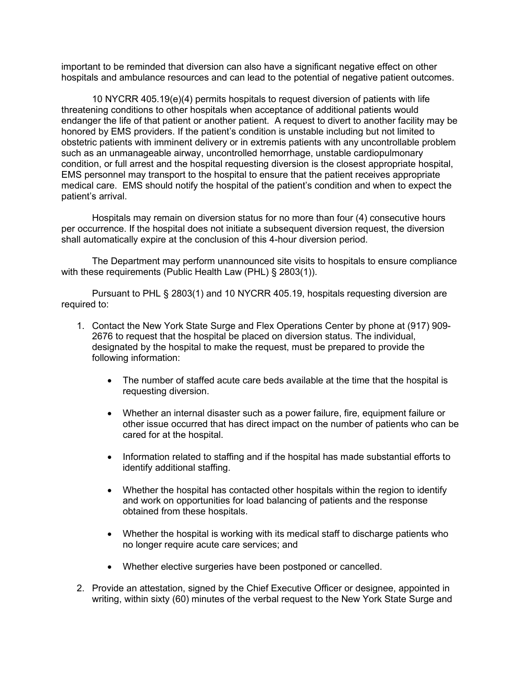important to be reminded that diversion can also have a significant negative effect on other hospitals and ambulance resources and can lead to the potential of negative patient outcomes.

10 NYCRR 405.19(e)(4) permits hospitals to request diversion of patients with life threatening conditions to other hospitals when acceptance of additional patients would endanger the life of that patient or another patient. A request to divert to another facility may be honored by EMS providers. If the patient's condition is unstable including but not limited to obstetric patients with imminent delivery or in extremis patients with any uncontrollable problem such as an unmanageable airway, uncontrolled hemorrhage, unstable cardiopulmonary condition, or full arrest and the hospital requesting diversion is the closest appropriate hospital, EMS personnel may transport to the hospital to ensure that the patient receives appropriate medical care. EMS should notify the hospital of the patient's condition and when to expect the patient's arrival.

Hospitals may remain on diversion status for no more than four (4) consecutive hours per occurrence. If the hospital does not initiate a subsequent diversion request, the diversion shall automatically expire at the conclusion of this 4-hour diversion period.

The Department may perform unannounced site visits to hospitals to ensure compliance with these requirements (Public Health Law (PHL) § 2803(1)).

Pursuant to PHL § 2803(1) and 10 NYCRR 405.19, hospitals requesting diversion are required to:

- 1. Contact the New York State Surge and Flex Operations Center by phone at (917) 909- 2676 to request that the hospital be placed on diversion status. The individual, designated by the hospital to make the request, must be prepared to provide the following information:
	- The number of staffed acute care beds available at the time that the hospital is requesting diversion.
	- Whether an internal disaster such as a power failure, fire, equipment failure or other issue occurred that has direct impact on the number of patients who can be cared for at the hospital.
	- Information related to staffing and if the hospital has made substantial efforts to identify additional staffing.
	- Whether the hospital has contacted other hospitals within the region to identify and work on opportunities for load balancing of patients and the response obtained from these hospitals.
	- Whether the hospital is working with its medical staff to discharge patients who no longer require acute care services; and
	- Whether elective surgeries have been postponed or cancelled.
- 2. Provide an attestation, signed by the Chief Executive Officer or designee, appointed in writing, within sixty (60) minutes of the verbal request to the New York State Surge and